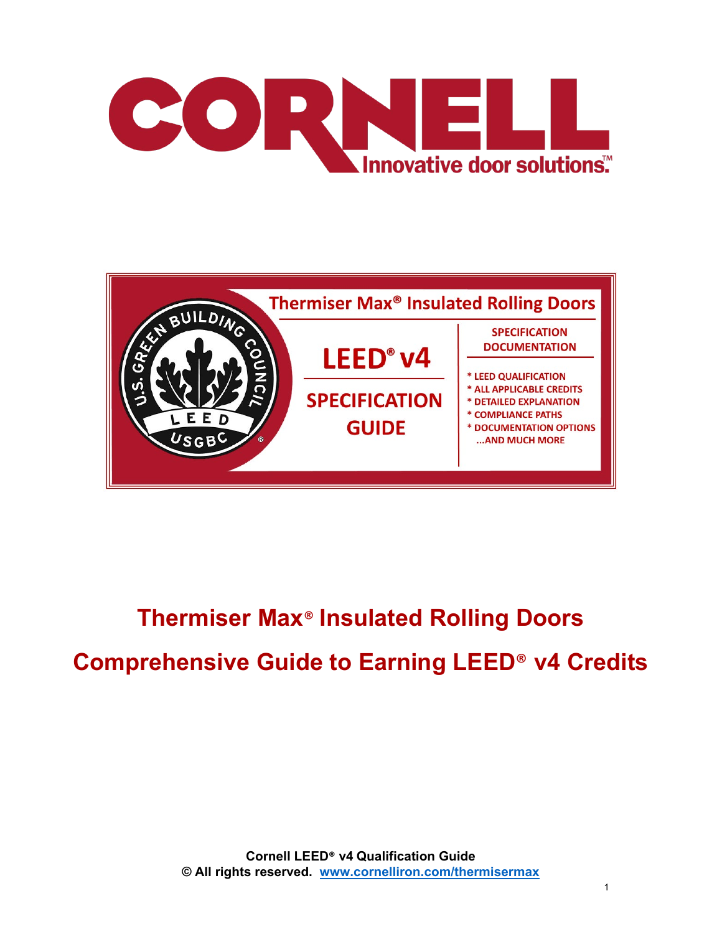



# **Thermiser Max**® **Insulated Rolling Doors Comprehensive Guide to Earning LEED**® **v4 Credits**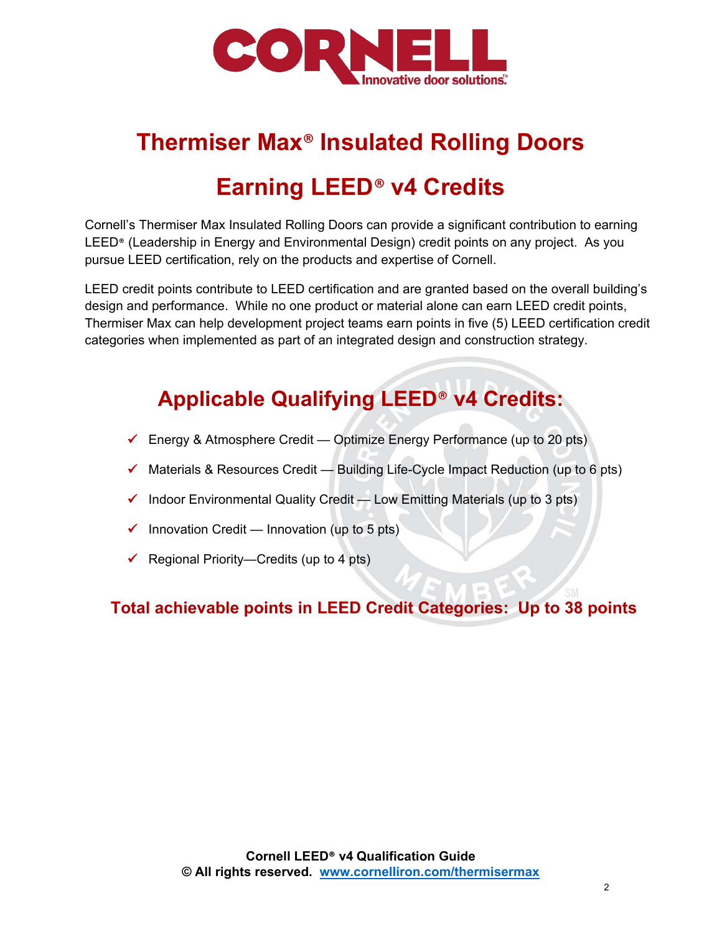

## **Thermiser Max**® **Insulated Rolling Doors**

## **Earning LEED**® **v4 Credits**

Cornell's Thermiser Max Insulated Rolling Doors can provide a significant contribution to earning LEED® (Leadership in Energy and Environmental Design) credit points on any project. As you pursue LEED certification, rely on the products and expertise of Cornell.

LEED credit points contribute to LEED certification and are granted based on the overall building's design and performance. While no one product or material alone can earn LEED credit points, Thermiser Max can help development project teams earn points in five (5) LEED certification credit categories when implemented as part of an integrated design and construction strategy.

## **Applicable Qualifying LEED**® **v4 Credits:**

- Energy & Atmosphere Credit Optimize Energy Performance (up to 20 pts)
- $\checkmark$  Materials & Resources Credit Building Life-Cycle Impact Reduction (up to 6 pts)
- $\checkmark$  Indoor Environmental Quality Credit Low Emitting Materials (up to 3 pts)
- $\checkmark$  Innovation Credit Innovation (up to 5 pts)
- $\checkmark$  Regional Priority—Credits (up to 4 pts)

## **Total achievable points in LEED Credit Categories: Up to 38 points**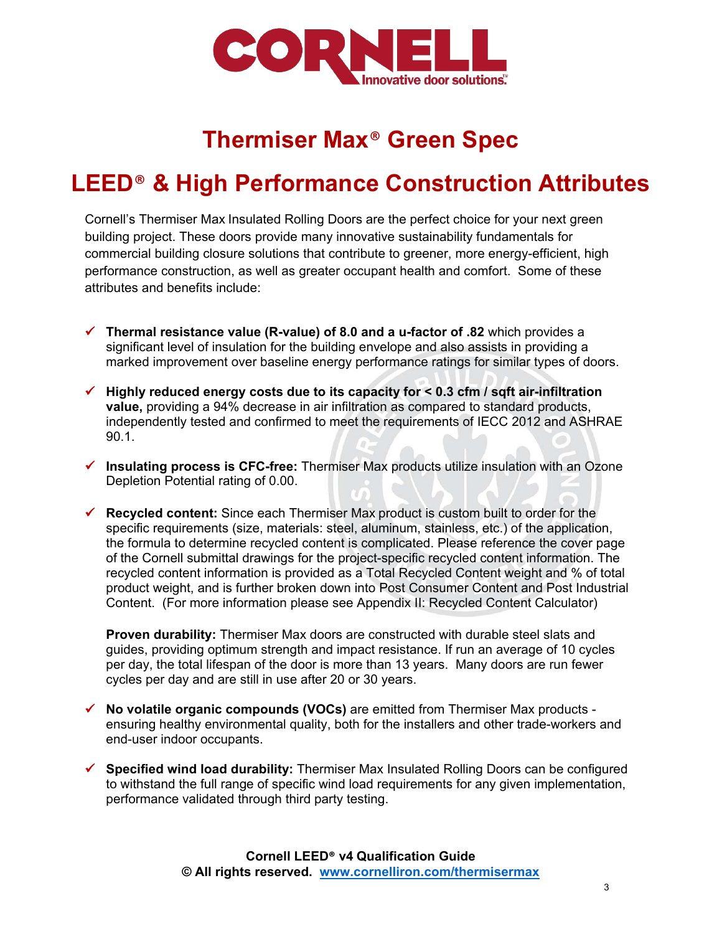

## **Thermiser Max**® **Green Spec**

## **LEED**® **& High Performance Construction Attributes**

Cornell's Thermiser Max Insulated Rolling Doors are the perfect choice for your next green building project. These doors provide many innovative sustainability fundamentals for commercial building closure solutions that contribute to greener, more energy-efficient, high performance construction, as well as greater occupant health and comfort. Some of these attributes and benefits include:

- **Thermal resistance value (R-value) of 8.0 and a u-factor of .82** which provides a significant level of insulation for the building envelope and also assists in providing a marked improvement over baseline energy performance ratings for similar types of doors.
- **Highly reduced energy costs due to its capacity for < 0.3 cfm / sqft air-infiltration value,** providing a 94% decrease in air infiltration as compared to standard products, independently tested and confirmed to meet the requirements of IECC 2012 and ASHRAE 90.1.
- **Insulating process is CFC-free:** Thermiser Max products utilize insulation with an Ozone Depletion Potential rating of 0.00.
- **Recycled content:** Since each Thermiser Max product is custom built to order for the specific requirements (size, materials: steel, aluminum, stainless, etc.) of the application, the formula to determine recycled content is complicated. Please reference the cover page of the Cornell submittal drawings for the project-specific recycled content information. The recycled content information is provided as a Total Recycled Content weight and % of total product weight, and is further broken down into Post Consumer Content and Post Industrial Content. (For more information please see Appendix II: Recycled Content Calculator)

**Proven durability:** Thermiser Max doors are constructed with durable steel slats and guides, providing optimum strength and impact resistance. If run an average of 10 cycles per day, the total lifespan of the door is more than 13 years. Many doors are run fewer cycles per day and are still in use after 20 or 30 years.

- **No volatile organic compounds (VOCs)** are emitted from Thermiser Max products ensuring healthy environmental quality, both for the installers and other trade-workers and end-user indoor occupants.
- **Specified wind load durability:** Thermiser Max Insulated Rolling Doors can be configured to withstand the full range of specific wind load requirements for any given implementation, performance validated through third party testing.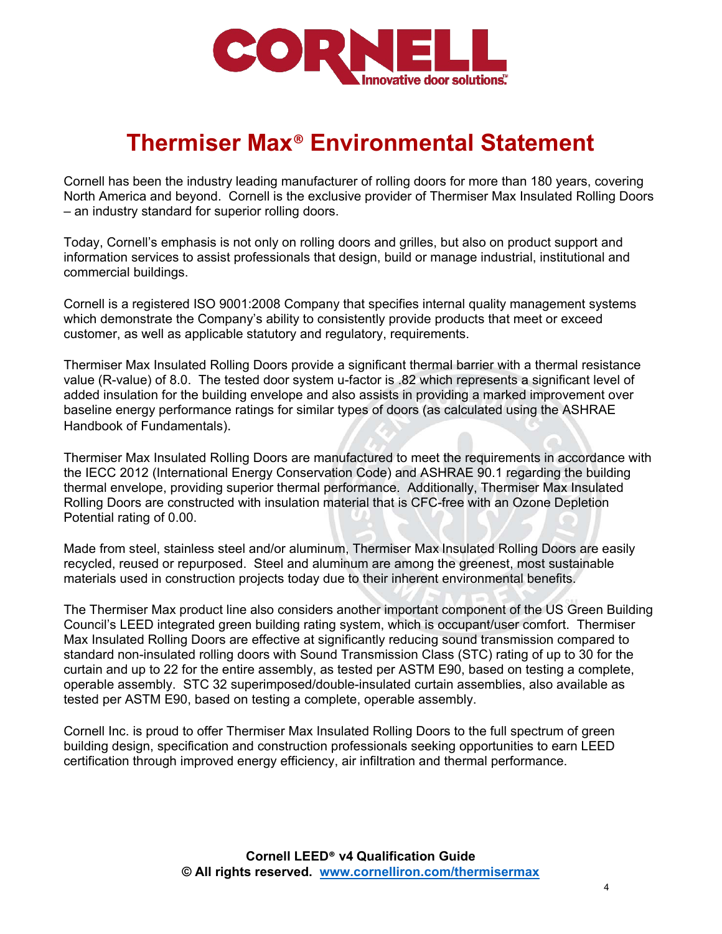

## **Thermiser Max**® **Environmental Statement**

Cornell has been the industry leading manufacturer of rolling doors for more than 180 years, covering North America and beyond. Cornell is the exclusive provider of Thermiser Max Insulated Rolling Doors – an industry standard for superior rolling doors.

Today, Cornell's emphasis is not only on rolling doors and grilles, but also on product support and information services to assist professionals that design, build or manage industrial, institutional and commercial buildings.

Cornell is a registered ISO 9001:2008 Company that specifies internal quality management systems which demonstrate the Company's ability to consistently provide products that meet or exceed customer, as well as applicable statutory and regulatory, requirements.

Thermiser Max Insulated Rolling Doors provide a significant thermal barrier with a thermal resistance value (R-value) of 8.0. The tested door system u-factor is .82 which represents a significant level of added insulation for the building envelope and also assists in providing a marked improvement over baseline energy performance ratings for similar types of doors (as calculated using the ASHRAE Handbook of Fundamentals).

Thermiser Max Insulated Rolling Doors are manufactured to meet the requirements in accordance with the IECC 2012 (International Energy Conservation Code) and ASHRAE 90.1 regarding the building thermal envelope, providing superior thermal performance. Additionally, Thermiser Max Insulated Rolling Doors are constructed with insulation material that is CFC-free with an Ozone Depletion Potential rating of 0.00.

Made from steel, stainless steel and/or aluminum, Thermiser Max Insulated Rolling Doors are easily recycled, reused or repurposed. Steel and aluminum are among the greenest, most sustainable materials used in construction projects today due to their inherent environmental benefits.

The Thermiser Max product line also considers another important component of the US Green Building Council's LEED integrated green building rating system, which is occupant/user comfort. Thermiser Max Insulated Rolling Doors are effective at significantly reducing sound transmission compared to standard non-insulated rolling doors with Sound Transmission Class (STC) rating of up to 30 for the curtain and up to 22 for the entire assembly, as tested per ASTM E90, based on testing a complete, operable assembly. STC 32 superimposed/double-insulated curtain assemblies, also available as tested per ASTM E90, based on testing a complete, operable assembly.

Cornell Inc. is proud to offer Thermiser Max Insulated Rolling Doors to the full spectrum of green building design, specification and construction professionals seeking opportunities to earn LEED certification through improved energy efficiency, air infiltration and thermal performance.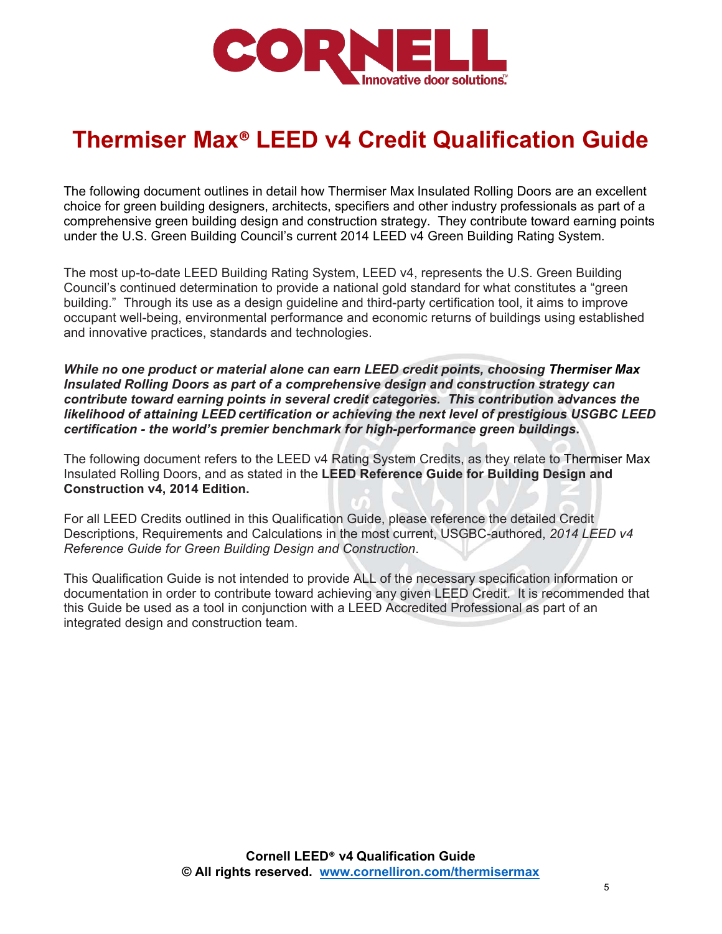

## **Thermiser Max® LEED v4 Credit Qualification Guide**

The following document outlines in detail how Thermiser Max Insulated Rolling Doors are an excellent choice for green building designers, architects, specifiers and other industry professionals as part of a comprehensive green building design and construction strategy. They contribute toward earning points under the U.S. Green Building Council's current 2014 LEED v4 Green Building Rating System.

The most up-to-date LEED Building Rating System, LEED v4, represents the U.S. Green Building Council's continued determination to provide a national gold standard for what constitutes a "green building." Through its use as a design guideline and third-party certification tool, it aims to improve occupant well-being, environmental performance and economic returns of buildings using established and innovative practices, standards and technologies.

*While no one product or material alone can earn LEED credit points, choosing Thermiser Max Insulated Rolling Doors as part of a comprehensive design and construction strategy can contribute toward earning points in several credit categories. This contribution advances the likelihood of attaining LEED certification or achieving the next level of prestigious USGBC LEED certification - the world's premier benchmark for high-performance green buildings***.**

The following document refers to the LEED v4 Rating System Credits, as they relate to Thermiser Max Insulated Rolling Doors, and as stated in the **LEED Reference Guide for Building Design and Construction v4, 2014 Edition.**

For all LEED Credits outlined in this Qualification Guide, please reference the detailed Credit Descriptions, Requirements and Calculations in the most current, USGBC-authored, *2014 LEED v4 Reference Guide for Green Building Design and Construction*.

This Qualification Guide is not intended to provide ALL of the necessary specification information or documentation in order to contribute toward achieving any given LEED Credit. It is recommended that this Guide be used as a tool in conjunction with a LEED Accredited Professional as part of an integrated design and construction team.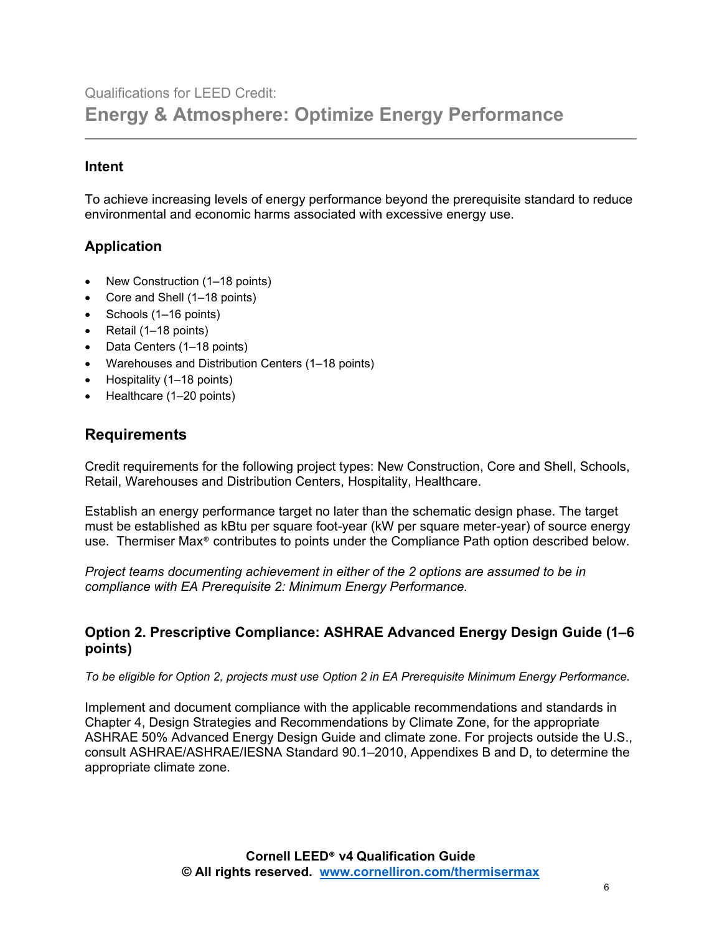## Qualifications for LEED Credit: **Energy & Atmosphere: Optimize Energy Performance**

#### **Intent**

To achieve increasing levels of energy performance beyond the prerequisite standard to reduce environmental and economic harms associated with excessive energy use.

#### **Application**

- New Construction (1–18 points)
- Core and Shell (1–18 points)
- Schools (1–16 points)
- Retail (1–18 points)
- Data Centers (1–18 points)
- Warehouses and Distribution Centers (1–18 points)
- Hospitality (1–18 points)
- Healthcare (1-20 points)

#### **Requirements**

Credit requirements for the following project types: New Construction, Core and Shell, Schools, Retail, Warehouses and Distribution Centers, Hospitality, Healthcare.

Establish an energy performance target no later than the schematic design phase. The target must be established as kBtu per square foot-year (kW per square meter-year) of source energy use. Thermiser Max® contributes to points under the Compliance Path option described below.

*Project teams documenting achievement in either of the 2 options are assumed to be in compliance with EA Prerequisite 2: Minimum Energy Performance.*

#### **Option 2. Prescriptive Compliance: ASHRAE Advanced Energy Design Guide (1–6 points)**

*To be eligible for Option 2, projects must use Option 2 in EA Prerequisite Minimum Energy Performance.*

Implement and document compliance with the applicable recommendations and standards in Chapter 4, Design Strategies and Recommendations by Climate Zone, for the appropriate ASHRAE 50% Advanced Energy Design Guide and climate zone. For projects outside the U.S., consult ASHRAE/ASHRAE/IESNA Standard 90.1–2010, Appendixes B and D, to determine the appropriate climate zone.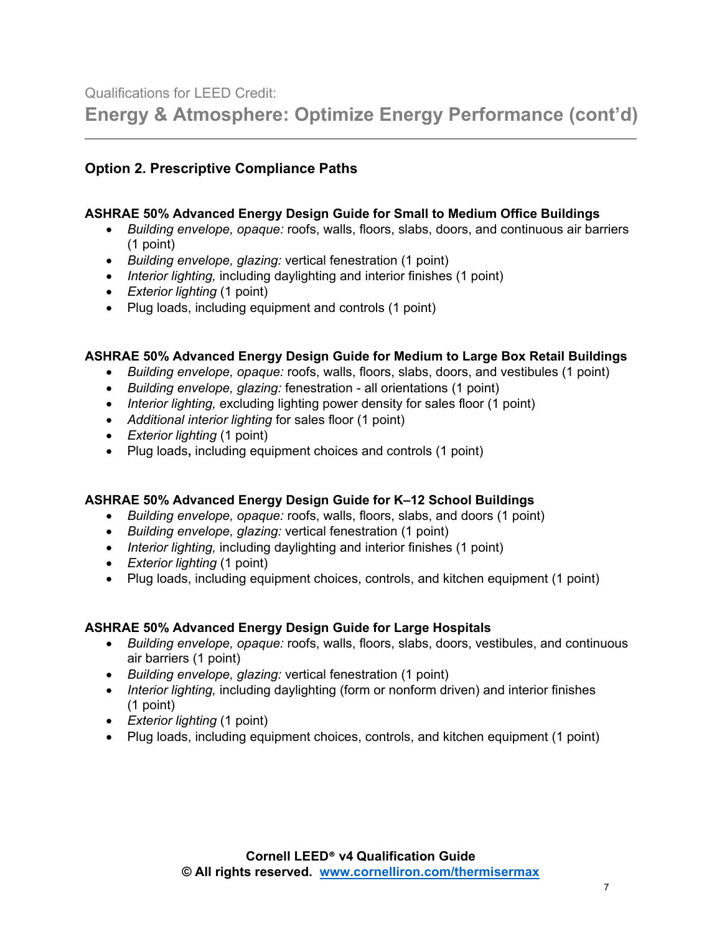**Energy & Atmosphere: Optimize Energy Performance (cont'd)**

#### **Option 2. Prescriptive Compliance Paths**

#### **ASHRAE 50% Advanced Energy Design Guide for Small to Medium Office Buildings**

- *Building envelope, opaque:* roofs, walls, floors, slabs, doors, and continuous air barriers (1 point)
- *Building envelope, glazing:* vertical fenestration (1 point)
- *Interior lighting,* including daylighting and interior finishes (1 point)
- *Exterior lighting* (1 point)
- Plug loads, including equipment and controls (1 point)

#### **ASHRAE 50% Advanced Energy Design Guide for Medium to Large Box Retail Buildings**

- *Building envelope, opaque:* roofs, walls, floors, slabs, doors, and vestibules (1 point)
- *Building envelope, glazing:* fenestration all orientations (1 point)
- *Interior lighting,* excluding lighting power density for sales floor (1 point)
- *Additional interior lighting* for sales floor (1 point)
- *Exterior lighting* (1 point)
- Plug loads**,** including equipment choices and controls (1 point)

#### **ASHRAE 50% Advanced Energy Design Guide for K–12 School Buildings**

- *Building envelope, opaque:* roofs, walls, floors, slabs, and doors (1 point)
- *Building envelope, glazing:* vertical fenestration (1 point)
- *Interior lighting,* including daylighting and interior finishes (1 point)
- *Exterior lighting* (1 point)
- Plug loads, including equipment choices, controls, and kitchen equipment (1 point)

#### **ASHRAE 50% Advanced Energy Design Guide for Large Hospitals**

- *Building envelope, opaque:* roofs, walls, floors, slabs, doors, vestibules, and continuous air barriers (1 point)
- *Building envelope, glazing:* vertical fenestration (1 point)
- *Interior lighting,* including daylighting (form or nonform driven) and interior finishes (1 point)
- *Exterior lighting* (1 point)
- Plug loads, including equipment choices, controls, and kitchen equipment (1 point)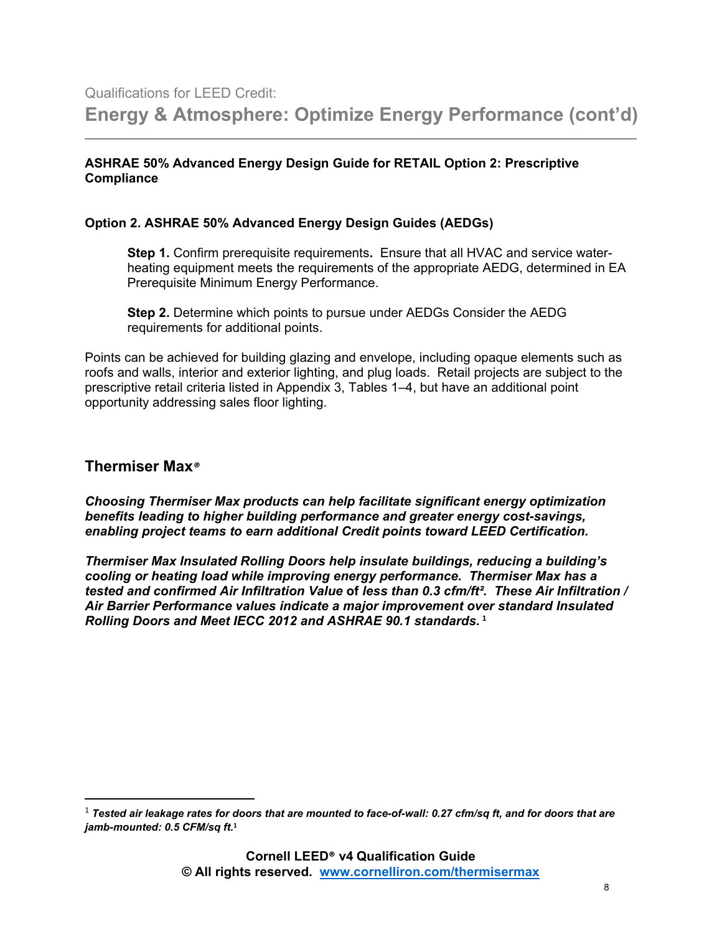#### **ASHRAE 50% Advanced Energy Design Guide for RETAIL Option 2: Prescriptive Compliance**

#### **Option 2. ASHRAE 50% Advanced Energy Design Guides (AEDGs)**

**Step 1.** Confirm prerequisite requirements**.** Ensure that all HVAC and service waterheating equipment meets the requirements of the appropriate AEDG, determined in EA Prerequisite Minimum Energy Performance.

**Step 2.** Determine which points to pursue under AEDGs Consider the AEDG requirements for additional points.

Points can be achieved for building glazing and envelope, including opaque elements such as roofs and walls, interior and exterior lighting, and plug loads. Retail projects are subject to the prescriptive retail criteria listed in Appendix 3, Tables 1–4, but have an additional point opportunity addressing sales floor lighting.

#### **Thermiser Max***®*

*Choosing Thermiser Max products can help facilitate significant energy optimization benefits leading to higher building performance and greater energy cost-savings, enabling project teams to earn additional Credit points toward LEED Certification.*

*Thermiser Max Insulated Rolling Doors help insulate buildings, reducing a building's cooling or heating load while improving energy performance. Thermiser Max has a tested and confirmed Air Infiltration Value* **of** *less than 0.3 cfm/ft². These Air Infiltration / Air Barrier Performance values indicate a major improvement over standard Insulated Rolling Doors and Meet IECC 2012 and ASHRAE 90.1 standards.* **[1](#page-7-0)**

<span id="page-7-0"></span> <sup>1</sup> *Tested air leakage rates for doors that are mounted to face-of-wall: 0.27 cfm/sq ft, and for doors that are jamb-mounted: 0.5 CFM/sq ft.***<sup>1</sup>**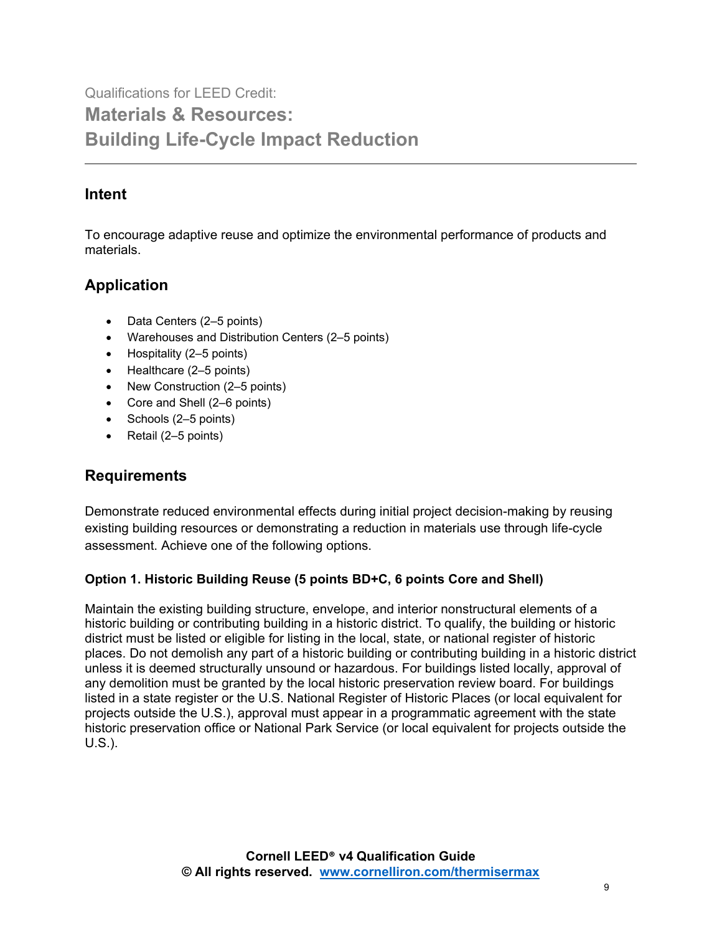Qualifications for LEED Credit: **Materials & Resources: Building Life-Cycle Impact Reduction** 

## **Intent**

To encourage adaptive reuse and optimize the environmental performance of products and materials.

## **Application**

- Data Centers (2–5 points)
- Warehouses and Distribution Centers (2–5 points)
- Hospitality (2–5 points)
- Healthcare (2–5 points)
- New Construction (2–5 points)
- Core and Shell (2–6 points)
- Schools (2–5 points)
- Retail (2–5 points)

## **Requirements**

Demonstrate reduced environmental effects during initial project decision-making by reusing existing building resources or demonstrating a reduction in materials use through life-cycle assessment. Achieve one of the following options.

#### **Option 1. Historic Building Reuse (5 points BD+C, 6 points Core and Shell)**

Maintain the existing building structure, envelope, and interior nonstructural elements of a historic building or contributing building in a historic district. To qualify, the building or historic district must be listed or eligible for listing in the local, state, or national register of historic places. Do not demolish any part of a historic building or contributing building in a historic district unless it is deemed structurally unsound or hazardous. For buildings listed locally, approval of any demolition must be granted by the local historic preservation review board. For buildings listed in a state register or the U.S. National Register of Historic Places (or local equivalent for projects outside the U.S.), approval must appear in a programmatic agreement with the state historic preservation office or National Park Service (or local equivalent for projects outside the U.S.).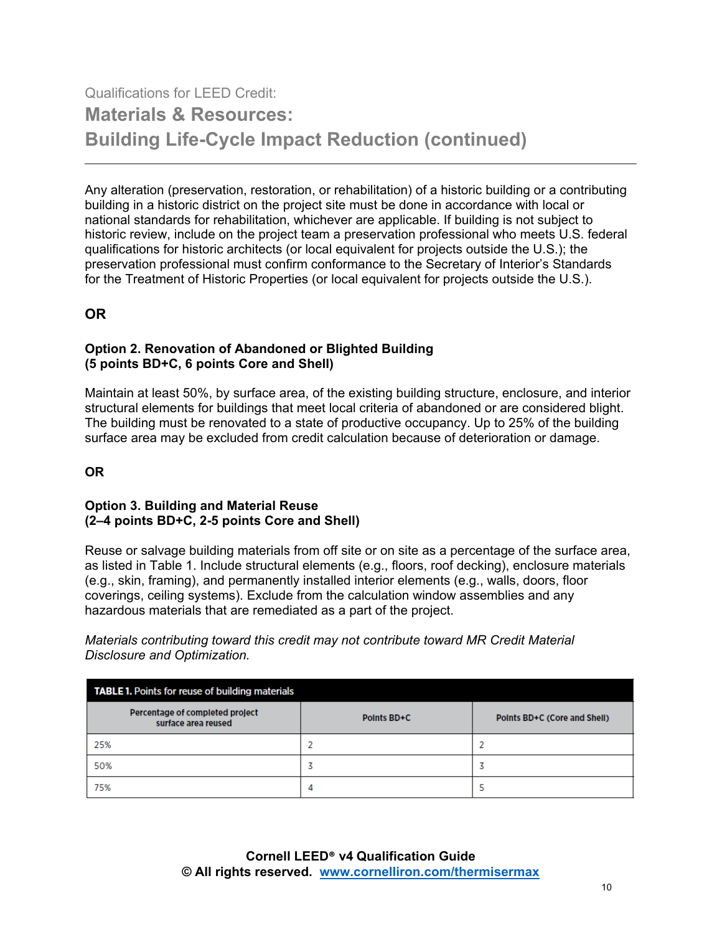## Qualifications for LEED Credit: **Materials & Resources: Building Life-Cycle Impact Reduction (continued)**

Any alteration (preservation, restoration, or rehabilitation) of a historic building or a contributing building in a historic district on the project site must be done in accordance with local or national standards for rehabilitation, whichever are applicable. If building is not subject to historic review, include on the project team a preservation professional who meets U.S. federal qualifications for historic architects (or local equivalent for projects outside the U.S.); the preservation professional must confirm conformance to the Secretary of Interior's Standards for the Treatment of Historic Properties (or local equivalent for projects outside the U.S.).

### **OR**

#### **Option 2. Renovation of Abandoned or Blighted Building (5 points BD+C, 6 points Core and Shell)**

Maintain at least 50%, by surface area, of the existing building structure, enclosure, and interior structural elements for buildings that meet local criteria of abandoned or are considered blight. The building must be renovated to a state of productive occupancy. Up to 25% of the building surface area may be excluded from credit calculation because of deterioration or damage.

#### **OR**

#### **Option 3. Building and Material Reuse (2–4 points BD+C, 2-5 points Core and Shell)**

Reuse or salvage building materials from off site or on site as a percentage of the surface area, as listed in Table 1. Include structural elements (e.g., floors, roof decking), enclosure materials (e.g., skin, framing), and permanently installed interior elements (e.g., walls, doors, floor coverings, ceiling systems). Exclude from the calculation window assemblies and any hazardous materials that are remediated as a part of the project.

*Materials contributing toward this credit may not contribute toward MR Credit Material Disclosure and Optimization.*

| <b>TABLE 1.</b> Points for reuse of building materials |             |                              |
|--------------------------------------------------------|-------------|------------------------------|
| Percentage of completed project<br>surface area reused | Points BD+C | Points BD+C (Core and Shell) |
| 25%                                                    |             |                              |
| 50%                                                    |             |                              |
| 75%                                                    | 4           |                              |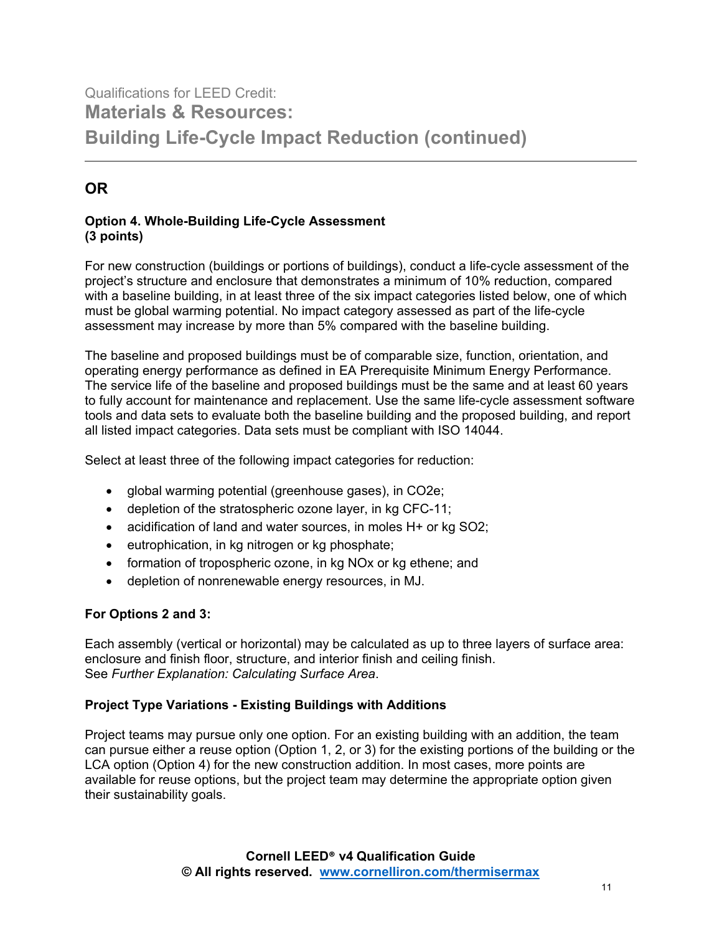## Qualifications for LEED Credit: **Materials & Resources: Building Life-Cycle Impact Reduction (continued)**

## **OR**

#### **Option 4. Whole-Building Life-Cycle Assessment (3 points)**

For new construction (buildings or portions of buildings), conduct a life-cycle assessment of the project's structure and enclosure that demonstrates a minimum of 10% reduction, compared with a baseline building, in at least three of the six impact categories listed below, one of which must be global warming potential. No impact category assessed as part of the life-cycle assessment may increase by more than 5% compared with the baseline building.

The baseline and proposed buildings must be of comparable size, function, orientation, and operating energy performance as defined in EA Prerequisite Minimum Energy Performance. The service life of the baseline and proposed buildings must be the same and at least 60 years to fully account for maintenance and replacement. Use the same life-cycle assessment software tools and data sets to evaluate both the baseline building and the proposed building, and report all listed impact categories. Data sets must be compliant with ISO 14044.

Select at least three of the following impact categories for reduction:

- global warming potential (greenhouse gases), in CO2e;
- depletion of the stratospheric ozone layer, in kg CFC-11;
- acidification of land and water sources, in moles H+ or kg SO2;
- eutrophication, in kg nitrogen or kg phosphate;
- formation of tropospheric ozone, in kg NOx or kg ethene; and
- depletion of nonrenewable energy resources, in MJ.

#### **For Options 2 and 3:**

Each assembly (vertical or horizontal) may be calculated as up to three layers of surface area: enclosure and finish floor, structure, and interior finish and ceiling finish. See *Further Explanation: Calculating Surface Area*.

#### **Project Type Variations - Existing Buildings with Additions**

Project teams may pursue only one option. For an existing building with an addition, the team can pursue either a reuse option (Option 1, 2, or 3) for the existing portions of the building or the LCA option (Option 4) for the new construction addition. In most cases, more points are available for reuse options, but the project team may determine the appropriate option given their sustainability goals.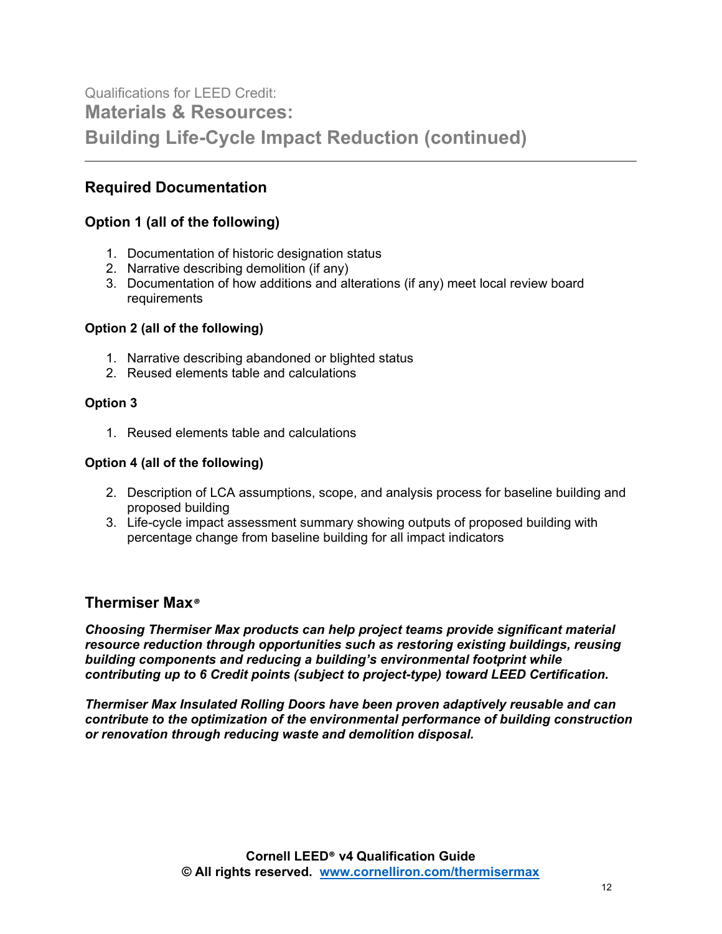## Qualifications for LEED Credit: **Materials & Resources: Building Life-Cycle Impact Reduction (continued)**

### **Required Documentation**

#### **Option 1 (all of the following)**

- 1. Documentation of historic designation status
- 2. Narrative describing demolition (if any)
- 3. Documentation of how additions and alterations (if any) meet local review board requirements

#### **Option 2 (all of the following)**

- 1. Narrative describing abandoned or blighted status
- 2. Reused elements table and calculations

#### **Option 3**

1. Reused elements table and calculations

#### **Option 4 (all of the following)**

- 2. Description of LCA assumptions, scope, and analysis process for baseline building and proposed building
- 3. Life-cycle impact assessment summary showing outputs of proposed building with percentage change from baseline building for all impact indicators

#### **Thermiser Max***®*

*Choosing Thermiser Max products can help project teams provide significant material resource reduction through opportunities such as restoring existing buildings, reusing building components and reducing a building's environmental footprint while contributing up to 6 Credit points (subject to project-type) toward LEED Certification.*

*Thermiser Max Insulated Rolling Doors have been proven adaptively reusable and can contribute to the optimization of the environmental performance of building construction or renovation through reducing waste and demolition disposal.*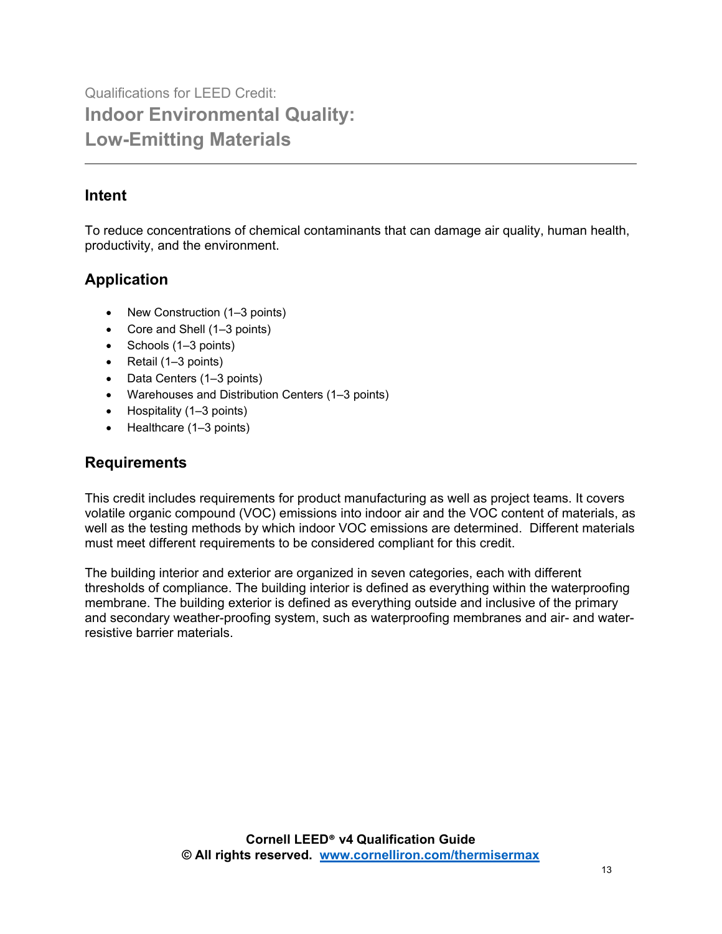## **Intent**

To reduce concentrations of chemical contaminants that can damage air quality, human health, productivity, and the environment.

## **Application**

- New Construction (1–3 points)
- Core and Shell (1–3 points)
- Schools (1–3 points)
- Retail (1–3 points)
- Data Centers (1–3 points)
- Warehouses and Distribution Centers (1–3 points)
- Hospitality (1–3 points)
- Healthcare (1–3 points)

## **Requirements**

This credit includes requirements for product manufacturing as well as project teams. It covers volatile organic compound (VOC) emissions into indoor air and the VOC content of materials, as well as the testing methods by which indoor VOC emissions are determined. Different materials must meet different requirements to be considered compliant for this credit.

The building interior and exterior are organized in seven categories, each with different thresholds of compliance. The building interior is defined as everything within the waterproofing membrane. The building exterior is defined as everything outside and inclusive of the primary and secondary weather-proofing system, such as waterproofing membranes and air- and waterresistive barrier materials.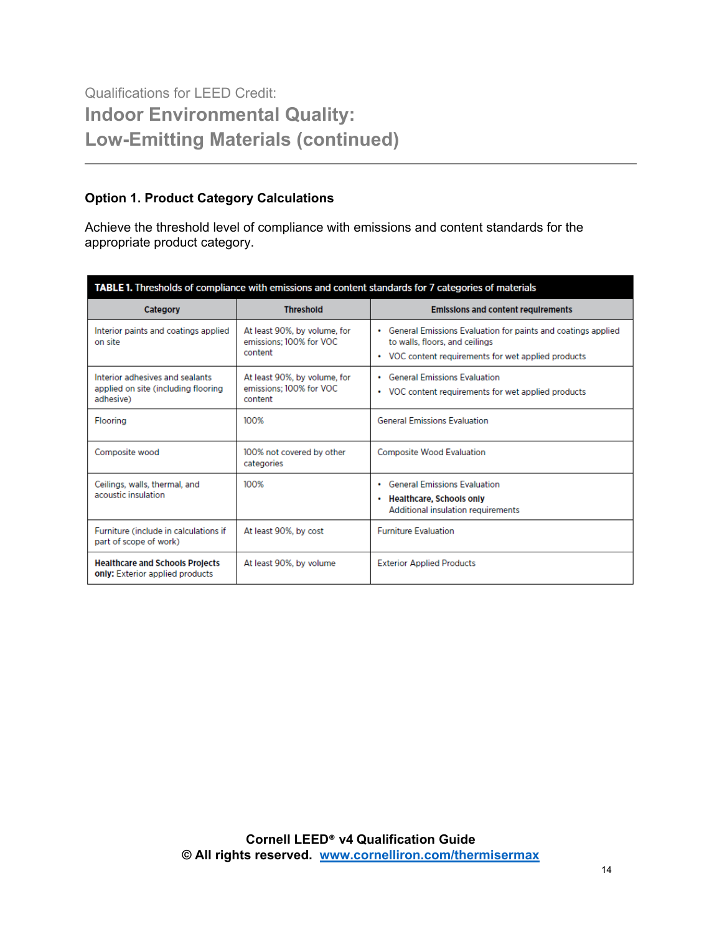#### **Option 1. Product Category Calculations**

Achieve the threshold level of compliance with emissions and content standards for the appropriate product category.

| TABLE 1. Thresholds of compliance with emissions and content standards for 7 categories of materials |                                                                    |                                                                                                                                                         |
|------------------------------------------------------------------------------------------------------|--------------------------------------------------------------------|---------------------------------------------------------------------------------------------------------------------------------------------------------|
| <b>Category</b>                                                                                      | <b>Threshold</b>                                                   | <b>Emissions and content requirements</b>                                                                                                               |
| Interior paints and coatings applied<br>on site                                                      | At least 90%, by volume, for<br>emissions; 100% for VOC<br>content | • General Emissions Evaluation for paints and coatings applied<br>to walls, floors, and ceilings<br>• VOC content requirements for wet applied products |
| Interior adhesives and sealants<br>applied on site (including flooring<br>adhesive)                  | At least 90%, by volume, for<br>emissions: 100% for VOC<br>content | <b>General Emissions Evaluation</b><br>$\bullet$<br>• VOC content requirements for wet applied products                                                 |
| <b>Flooring</b>                                                                                      | 100%                                                               | <b>General Emissions Evaluation</b>                                                                                                                     |
| Composite wood                                                                                       | 100% not covered by other<br>categories                            | <b>Composite Wood Evaluation</b>                                                                                                                        |
| Ceilings, walls, thermal, and<br>acoustic insulation                                                 | 100%                                                               | • General Emissions Evaluation<br>• Healthcare, Schools only<br>Additional insulation requirements                                                      |
| Furniture (include in calculations if<br>part of scope of work)                                      | At least 90%, by cost                                              | <b>Furniture Evaluation</b>                                                                                                                             |
| <b>Healthcare and Schools Projects</b><br>only: Exterior applied products                            | At least 90%, by volume                                            | <b>Exterior Applied Products</b>                                                                                                                        |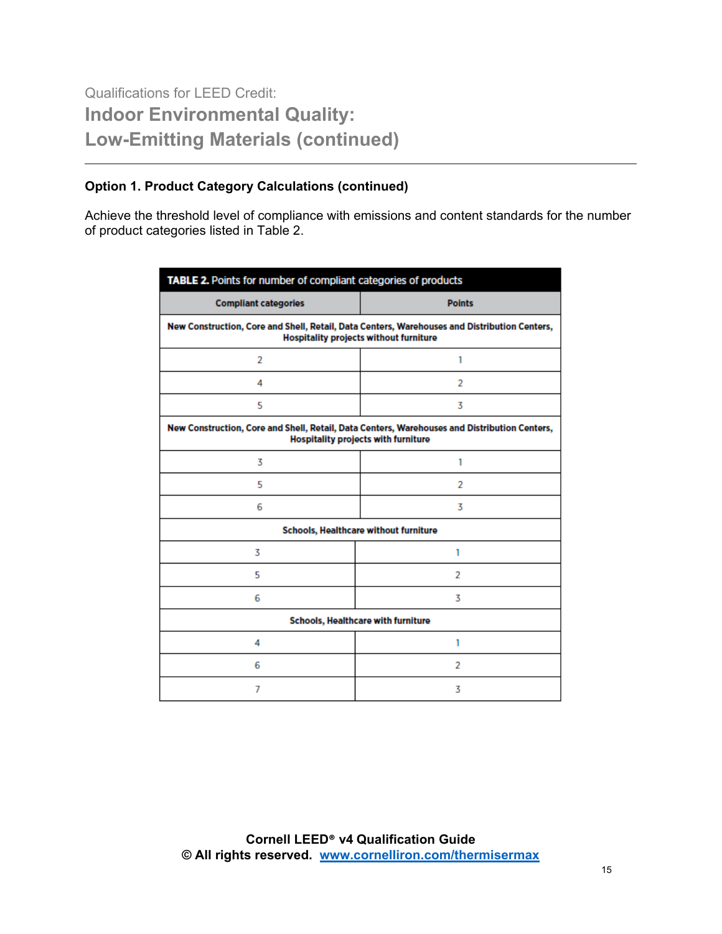#### **Option 1. Product Category Calculations (continued)**

Achieve the threshold level of compliance with emissions and content standards for the number of product categories listed in Table 2.

| TABLE 2. Points for number of compliant categories of products                                                                                |               |  |
|-----------------------------------------------------------------------------------------------------------------------------------------------|---------------|--|
| <b>Compliant categories</b>                                                                                                                   | <b>Points</b> |  |
| New Construction, Core and Shell, Retail, Data Centers, Warehouses and Distribution Centers,<br><b>Hospitality projects without furniture</b> |               |  |
| $\overline{2}$                                                                                                                                | 1             |  |
| 4                                                                                                                                             | 2             |  |
| 5                                                                                                                                             | 3             |  |
| New Construction, Core and Shell, Retail, Data Centers, Warehouses and Distribution Centers,<br>Hospitality projects with furniture           |               |  |
| 3                                                                                                                                             | 1             |  |
| 5                                                                                                                                             | 2             |  |
| 6                                                                                                                                             | 3             |  |
| Schools, Healthcare without furniture                                                                                                         |               |  |
| 3                                                                                                                                             | 1             |  |
| 5                                                                                                                                             | 2             |  |
| 6                                                                                                                                             | 3             |  |
| Schools, Healthcare with furniture                                                                                                            |               |  |
| 4                                                                                                                                             | 1             |  |
| 6                                                                                                                                             | 2             |  |
| 7                                                                                                                                             | 3             |  |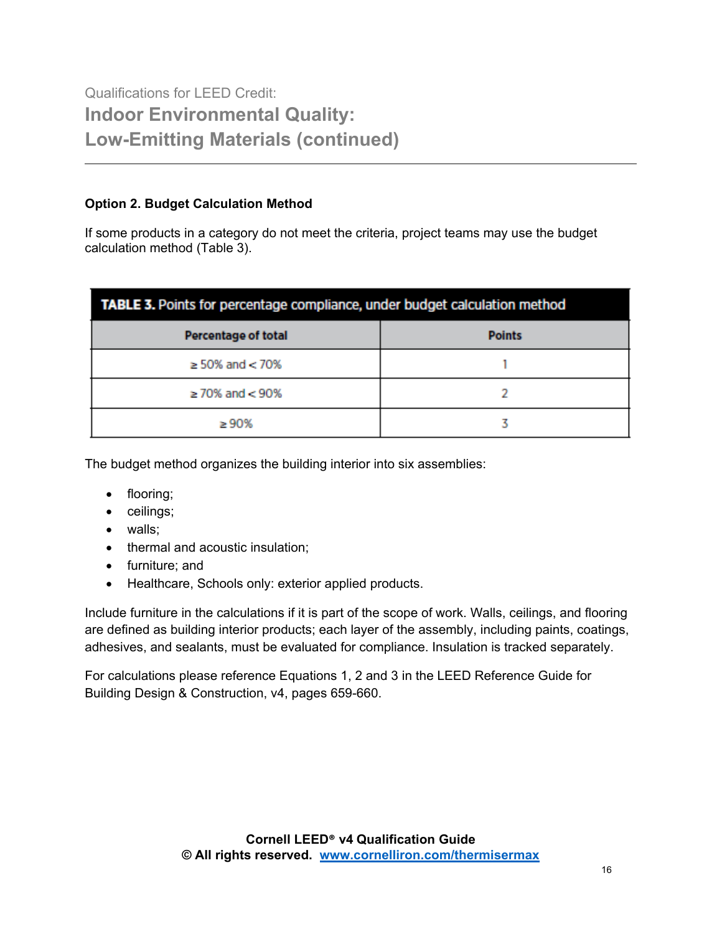#### **Option 2. Budget Calculation Method**

If some products in a category do not meet the criteria, project teams may use the budget calculation method (Table 3).

| TABLE 3. Points for percentage compliance, under budget calculation method |               |  |
|----------------------------------------------------------------------------|---------------|--|
| <b>Percentage of total</b>                                                 | <b>Points</b> |  |
| $\geq$ 50% and $<$ 70%                                                     |               |  |
| $\geq$ 70% and $<$ 90%                                                     |               |  |
| >90%                                                                       |               |  |

The budget method organizes the building interior into six assemblies:

- flooring;
- ceilings;
- walls;
- thermal and acoustic insulation;
- furniture; and
- Healthcare, Schools only: exterior applied products.

Include furniture in the calculations if it is part of the scope of work. Walls, ceilings, and flooring are defined as building interior products; each layer of the assembly, including paints, coatings, adhesives, and sealants, must be evaluated for compliance. Insulation is tracked separately.

For calculations please reference Equations 1, 2 and 3 in the LEED Reference Guide for Building Design & Construction, v4, pages 659-660.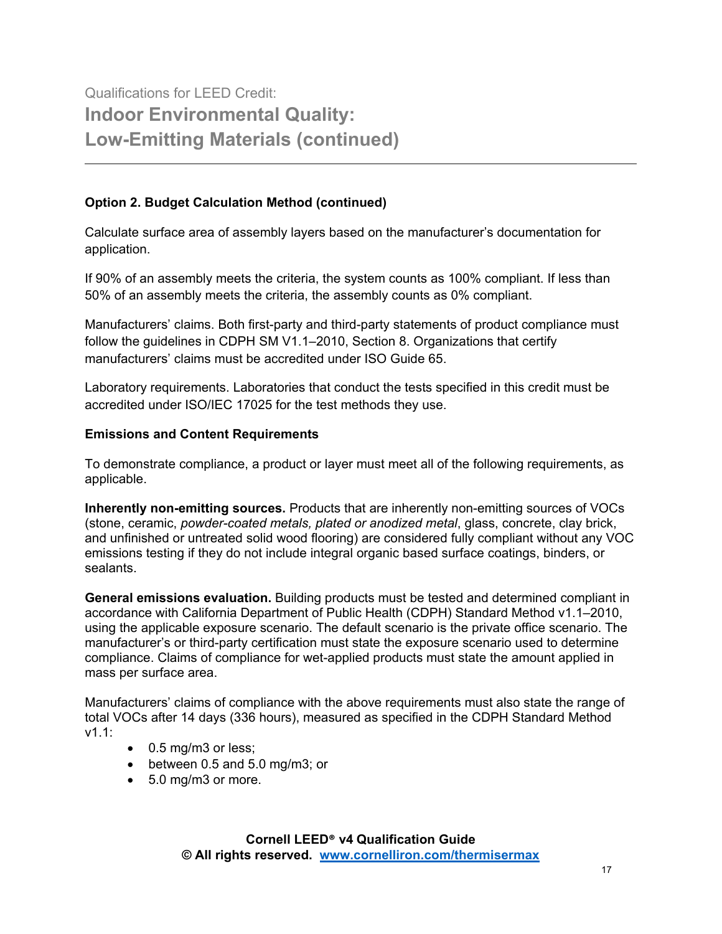#### **Option 2. Budget Calculation Method (continued)**

Calculate surface area of assembly layers based on the manufacturer's documentation for application.

If 90% of an assembly meets the criteria, the system counts as 100% compliant. If less than 50% of an assembly meets the criteria, the assembly counts as 0% compliant.

Manufacturers' claims. Both first-party and third-party statements of product compliance must follow the guidelines in CDPH SM V1.1–2010, Section 8. Organizations that certify manufacturers' claims must be accredited under ISO Guide 65.

Laboratory requirements. Laboratories that conduct the tests specified in this credit must be accredited under ISO/IEC 17025 for the test methods they use.

#### **Emissions and Content Requirements**

To demonstrate compliance, a product or layer must meet all of the following requirements, as applicable.

**Inherently non-emitting sources.** Products that are inherently non-emitting sources of VOCs (stone, ceramic, *powder-coated metals, plated or anodized metal*, glass, concrete, clay brick, and unfinished or untreated solid wood flooring) are considered fully compliant without any VOC emissions testing if they do not include integral organic based surface coatings, binders, or sealants.

**General emissions evaluation.** Building products must be tested and determined compliant in accordance with California Department of Public Health (CDPH) Standard Method v1.1–2010, using the applicable exposure scenario. The default scenario is the private office scenario. The manufacturer's or third-party certification must state the exposure scenario used to determine compliance. Claims of compliance for wet-applied products must state the amount applied in mass per surface area.

Manufacturers' claims of compliance with the above requirements must also state the range of total VOCs after 14 days (336 hours), measured as specified in the CDPH Standard Method v1.1:

- 0.5 mg/m3 or less;
- between 0.5 and 5.0 mg/m3; or
- 5.0 mg/m3 or more.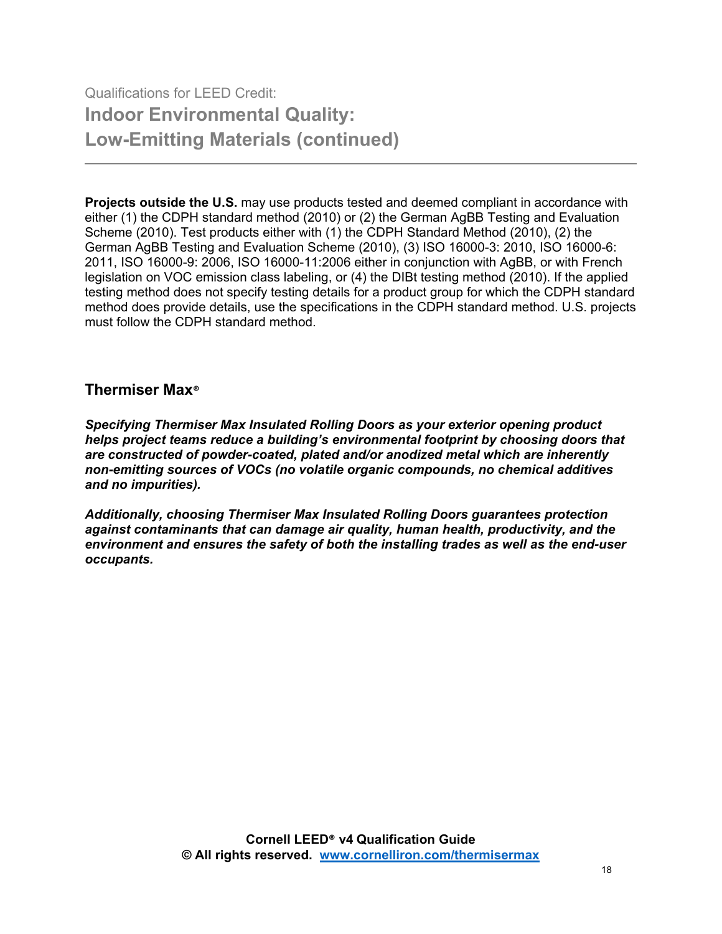**Projects outside the U.S.** may use products tested and deemed compliant in accordance with either (1) the CDPH standard method (2010) or (2) the German AgBB Testing and Evaluation Scheme (2010). Test products either with (1) the CDPH Standard Method (2010), (2) the German AgBB Testing and Evaluation Scheme (2010), (3) ISO 16000-3: 2010, ISO 16000-6: 2011, ISO 16000-9: 2006, ISO 16000-11:2006 either in conjunction with AgBB, or with French legislation on VOC emission class labeling, or (4) the DIBt testing method (2010). If the applied testing method does not specify testing details for a product group for which the CDPH standard method does provide details, use the specifications in the CDPH standard method. U.S. projects must follow the CDPH standard method.

#### **Thermiser Max®**

*Specifying Thermiser Max Insulated Rolling Doors as your exterior opening product helps project teams reduce a building's environmental footprint by choosing doors that are constructed of powder-coated, plated and/or anodized metal which are inherently non-emitting sources of VOCs (no volatile organic compounds, no chemical additives and no impurities).*

*Additionally, choosing Thermiser Max Insulated Rolling Doors guarantees protection against contaminants that can damage air quality, human health, productivity, and the environment and ensures the safety of both the installing trades as well as the end-user occupants.*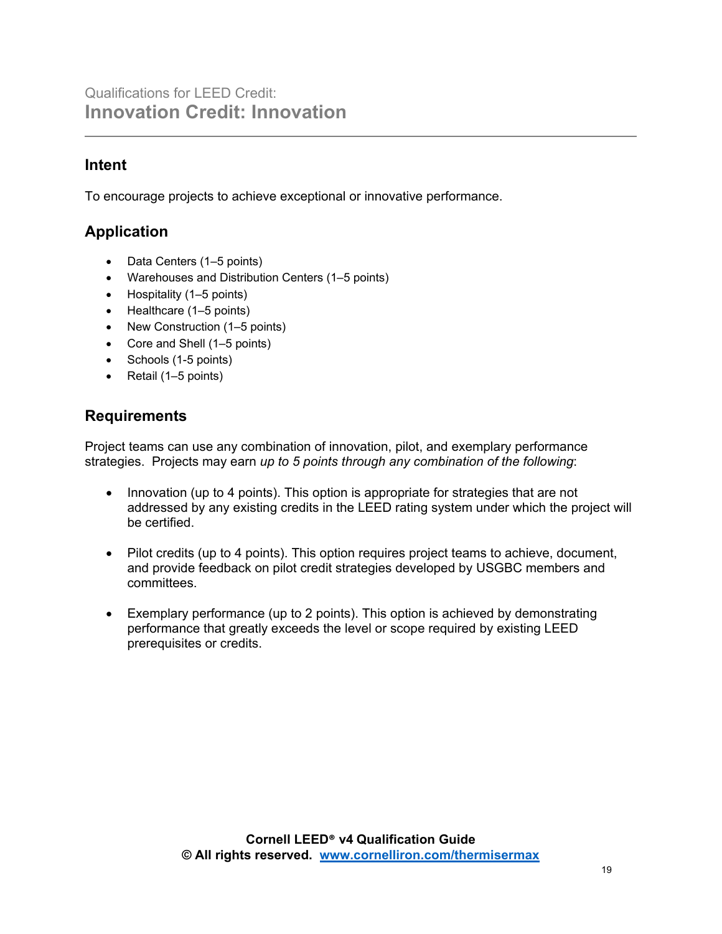## **Intent**

To encourage projects to achieve exceptional or innovative performance.

## **Application**

- Data Centers (1–5 points)
- Warehouses and Distribution Centers (1–5 points)
- Hospitality (1–5 points)
- Healthcare (1–5 points)
- New Construction (1–5 points)
- Core and Shell (1–5 points)
- Schools (1-5 points)
- Retail (1–5 points)

### **Requirements**

Project teams can use any combination of innovation, pilot, and exemplary performance strategies. Projects may earn *up to 5 points through any combination of the following*:

- Innovation (up to 4 points). This option is appropriate for strategies that are not addressed by any existing credits in the LEED rating system under which the project will be certified.
- Pilot credits (up to 4 points). This option requires project teams to achieve, document, and provide feedback on pilot credit strategies developed by USGBC members and committees.
- Exemplary performance (up to 2 points). This option is achieved by demonstrating performance that greatly exceeds the level or scope required by existing LEED prerequisites or credits.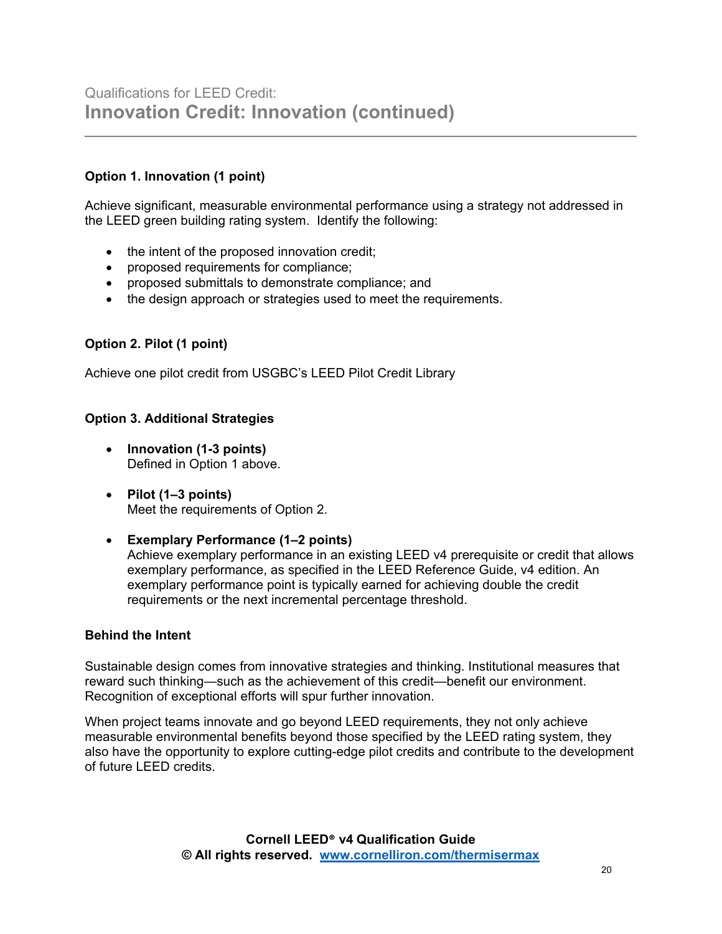#### **Option 1. Innovation (1 point)**

Achieve significant, measurable environmental performance using a strategy not addressed in the LEED green building rating system. Identify the following:

- the intent of the proposed innovation credit;
- proposed requirements for compliance;
- proposed submittals to demonstrate compliance; and
- the design approach or strategies used to meet the requirements.

#### **Option 2. Pilot (1 point)**

Achieve one pilot credit from USGBC's LEED Pilot Credit Library

#### **Option 3. Additional Strategies**

- **Innovation (1-3 points)**  Defined in Option 1 above.
- **Pilot (1–3 points)**  Meet the requirements of Option 2.
- **Exemplary Performance (1–2 points)** Achieve exemplary performance in an existing LEED v4 prerequisite or credit that allows exemplary performance, as specified in the LEED Reference Guide, v4 edition. An exemplary performance point is typically earned for achieving double the credit requirements or the next incremental percentage threshold.

#### **Behind the Intent**

Sustainable design comes from innovative strategies and thinking. Institutional measures that reward such thinking—such as the achievement of this credit—benefit our environment. Recognition of exceptional efforts will spur further innovation.

When project teams innovate and go beyond LEED requirements, they not only achieve measurable environmental benefits beyond those specified by the LEED rating system, they also have the opportunity to explore cutting-edge pilot credits and contribute to the development of future LEED credits.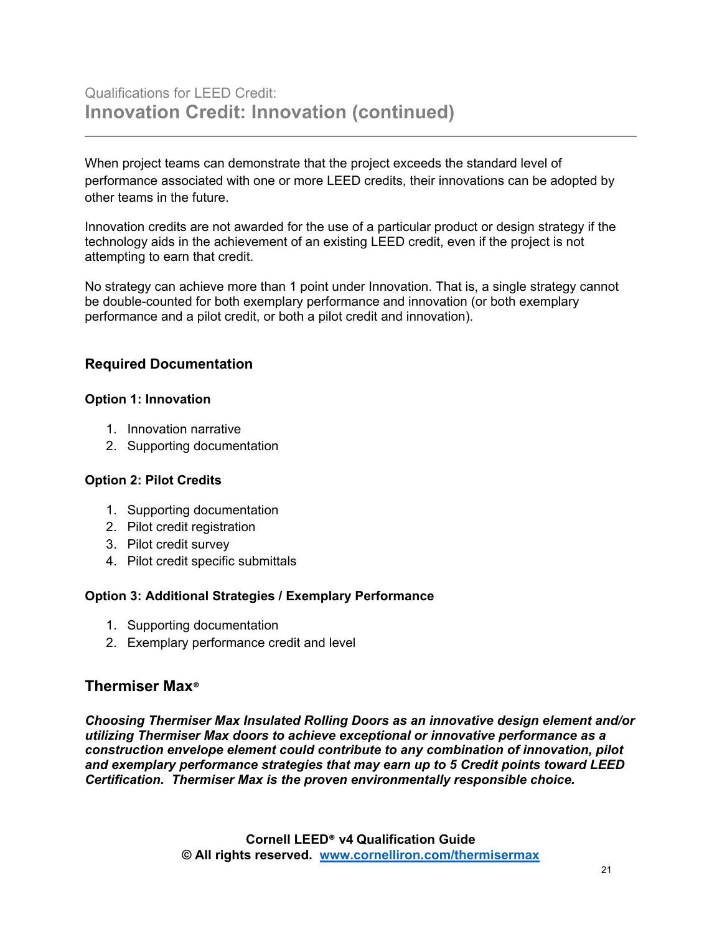When project teams can demonstrate that the project exceeds the standard level of performance associated with one or more LEED credits, their innovations can be adopted by other teams in the future.

Innovation credits are not awarded for the use of a particular product or design strategy if the technology aids in the achievement of an existing LEED credit, even if the project is not attempting to earn that credit.

No strategy can achieve more than 1 point under Innovation. That is, a single strategy cannot be double-counted for both exemplary performance and innovation (or both exemplary performance and a pilot credit, or both a pilot credit and innovation).

#### **Required Documentation**

#### **Option 1: Innovation**

- 1. Innovation narrative
- 2. Supporting documentation

#### **Option 2: Pilot Credits**

- 1. Supporting documentation
- 2. Pilot credit registration
- 3. Pilot credit survey
- 4. Pilot credit specific submittals

#### **Option 3: Additional Strategies / Exemplary Performance**

- 1. Supporting documentation
- 2. Exemplary performance credit and level

#### **Thermiser Max®**

*Choosing Thermiser Max Insulated Rolling Doors as an innovative design element and/or utilizing Thermiser Max doors to achieve exceptional or innovative performance as a construction envelope element could contribute to any combination of innovation, pilot and exemplary performance strategies that may earn up to 5 Credit points toward LEED Certification. Thermiser Max is the proven environmentally responsible choice.*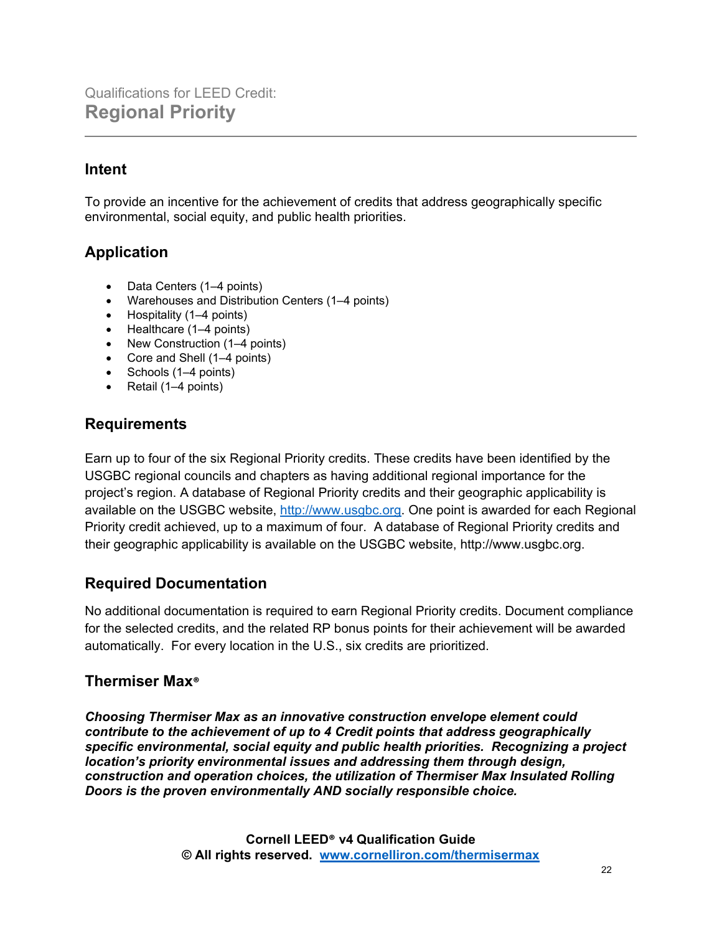## **Intent**

To provide an incentive for the achievement of credits that address geographically specific environmental, social equity, and public health priorities.

## **Application**

- Data Centers (1–4 points)
- Warehouses and Distribution Centers (1–4 points)
- Hospitality (1–4 points)
- Healthcare (1–4 points)
- New Construction (1–4 points)
- Core and Shell (1–4 points)
- Schools (1–4 points)
- Retail (1–4 points)

### **Requirements**

Earn up to four of the six Regional Priority credits. These credits have been identified by the USGBC regional councils and chapters as having additional regional importance for the project's region. A database of Regional Priority credits and their geographic applicability is available on the USGBC website, [http://www.usgbc.org.](http://www.usgbc.org/) One point is awarded for each Regional Priority credit achieved, up to a maximum of four. A database of Regional Priority credits and their geographic applicability is available on the USGBC website, http://www.usgbc.org.

## **Required Documentation**

No additional documentation is required to earn Regional Priority credits. Document compliance for the selected credits, and the related RP bonus points for their achievement will be awarded automatically. For every location in the U.S., six credits are prioritized.

## **Thermiser Max®**

*Choosing Thermiser Max as an innovative construction envelope element could contribute to the achievement of up to 4 Credit points that address geographically specific environmental, social equity and public health priorities. Recognizing a project location's priority environmental issues and addressing them through design, construction and operation choices, the utilization of Thermiser Max Insulated Rolling Doors is the proven environmentally AND socially responsible choice.*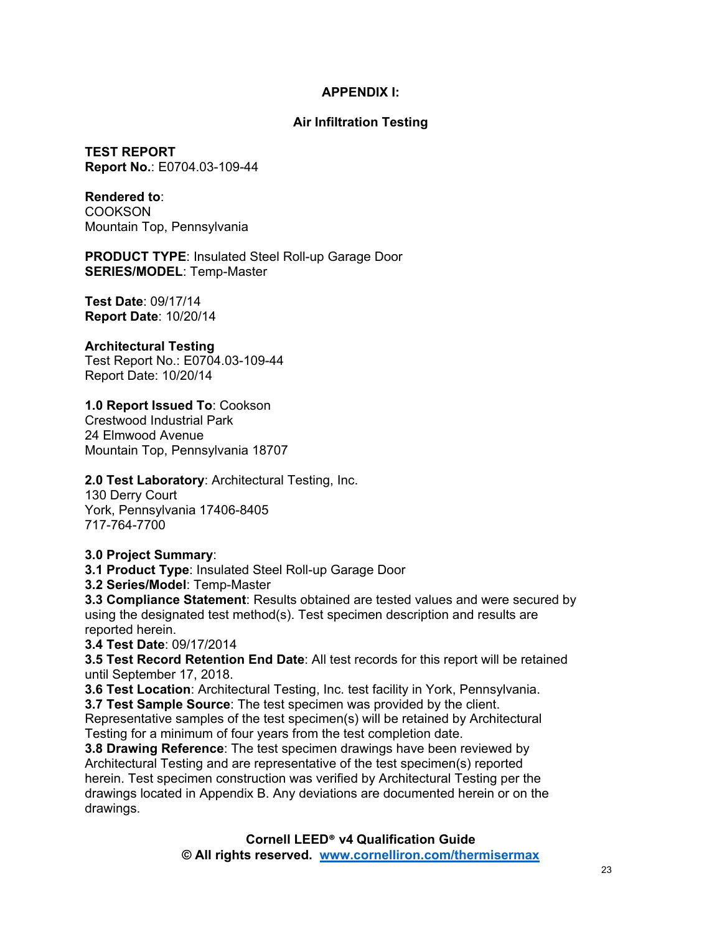#### **APPENDIX I:**

#### **Air Infiltration Testing**

**TEST REPORT Report No.**: E0704.03-109-44

**Rendered to**: COOKSON Mountain Top, Pennsylvania

**PRODUCT TYPE**: Insulated Steel Roll-up Garage Door **SERIES/MODEL**: Temp-Master

**Test Date**: 09/17/14 **Report Date**: 10/20/14

#### **Architectural Testing**

Test Report No.: E0704.03-109-44 Report Date: 10/20/14

**1.0 Report Issued To**: Cookson

Crestwood Industrial Park 24 Elmwood Avenue Mountain Top, Pennsylvania 18707

#### **2.0 Test Laboratory**: Architectural Testing, Inc.

130 Derry Court York, Pennsylvania 17406-8405 717-764-7700

**3.0 Project Summary**:

**3.1 Product Type**: Insulated Steel Roll-up Garage Door

**3.2 Series/Model**: Temp-Master

**3.3 Compliance Statement**: Results obtained are tested values and were secured by using the designated test method(s). Test specimen description and results are reported herein.

**3.4 Test Date**: 09/17/2014

**3.5 Test Record Retention End Date**: All test records for this report will be retained until September 17, 2018.

**3.6 Test Location**: Architectural Testing, Inc. test facility in York, Pennsylvania.

**3.7 Test Sample Source**: The test specimen was provided by the client.

Representative samples of the test specimen(s) will be retained by Architectural Testing for a minimum of four years from the test completion date.

**3.8 Drawing Reference**: The test specimen drawings have been reviewed by Architectural Testing and are representative of the test specimen(s) reported herein. Test specimen construction was verified by Architectural Testing per the drawings located in Appendix B. Any deviations are documented herein or on the drawings.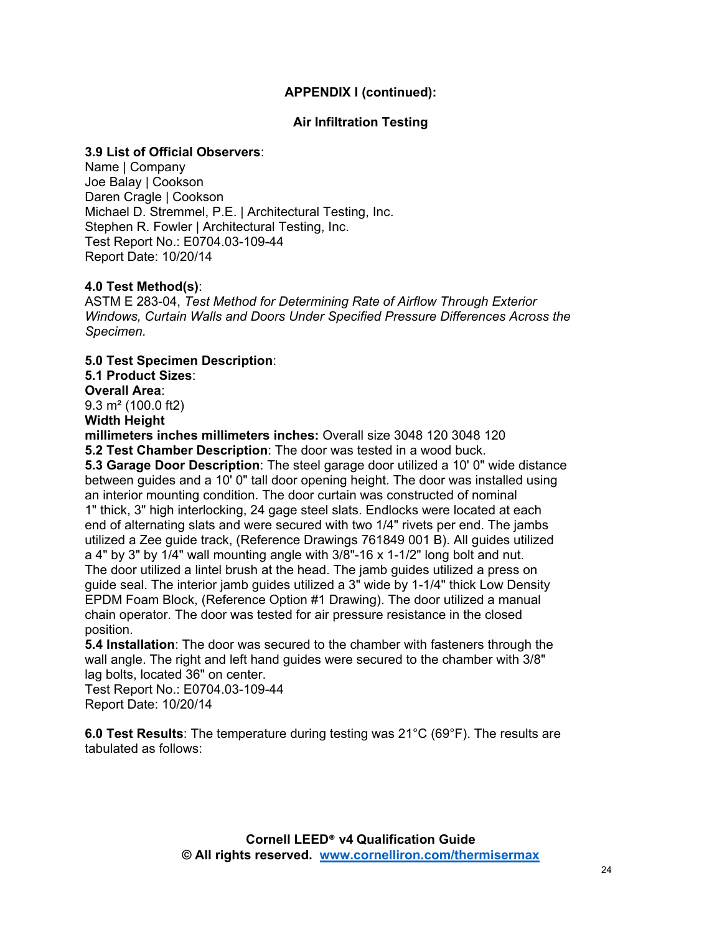#### **APPENDIX I (continued):**

#### **Air Infiltration Testing**

#### **3.9 List of Official Observers**:

Name | Company Joe Balay | Cookson Daren Cragle | Cookson Michael D. Stremmel, P.E. | Architectural Testing, Inc. Stephen R. Fowler | Architectural Testing, Inc. Test Report No.: E0704.03-109-44 Report Date: 10/20/14

#### **4.0 Test Method(s)**:

ASTM E 283-04, *Test Method for Determining Rate of Airflow Through Exterior Windows, Curtain Walls and Doors Under Specified Pressure Differences Across the Specimen.*

**5.0 Test Specimen Description**: **5.1 Product Sizes**: **Overall Area**:

9.3 m² (100.0 ft2)

**Width Height**

**millimeters inches millimeters inches:** Overall size 3048 120 3048 120 **5.2 Test Chamber Description**: The door was tested in a wood buck.

**5.3 Garage Door Description**: The steel garage door utilized a 10' 0" wide distance between guides and a 10' 0" tall door opening height. The door was installed using an interior mounting condition. The door curtain was constructed of nominal 1" thick, 3" high interlocking, 24 gage steel slats. Endlocks were located at each end of alternating slats and were secured with two 1/4" rivets per end. The jambs utilized a Zee guide track, (Reference Drawings 761849 001 B). All guides utilized a 4" by 3" by 1/4" wall mounting angle with 3/8"-16 x 1-1/2" long bolt and nut. The door utilized a lintel brush at the head. The jamb guides utilized a press on guide seal. The interior jamb guides utilized a 3" wide by 1-1/4" thick Low Density EPDM Foam Block, (Reference Option #1 Drawing). The door utilized a manual chain operator. The door was tested for air pressure resistance in the closed position.

**5.4 Installation**: The door was secured to the chamber with fasteners through the wall angle. The right and left hand guides were secured to the chamber with 3/8" lag bolts, located 36" on center.

Test Report No.: E0704.03-109-44 Report Date: 10/20/14

**6.0 Test Results**: The temperature during testing was 21°C (69°F). The results are tabulated as follows: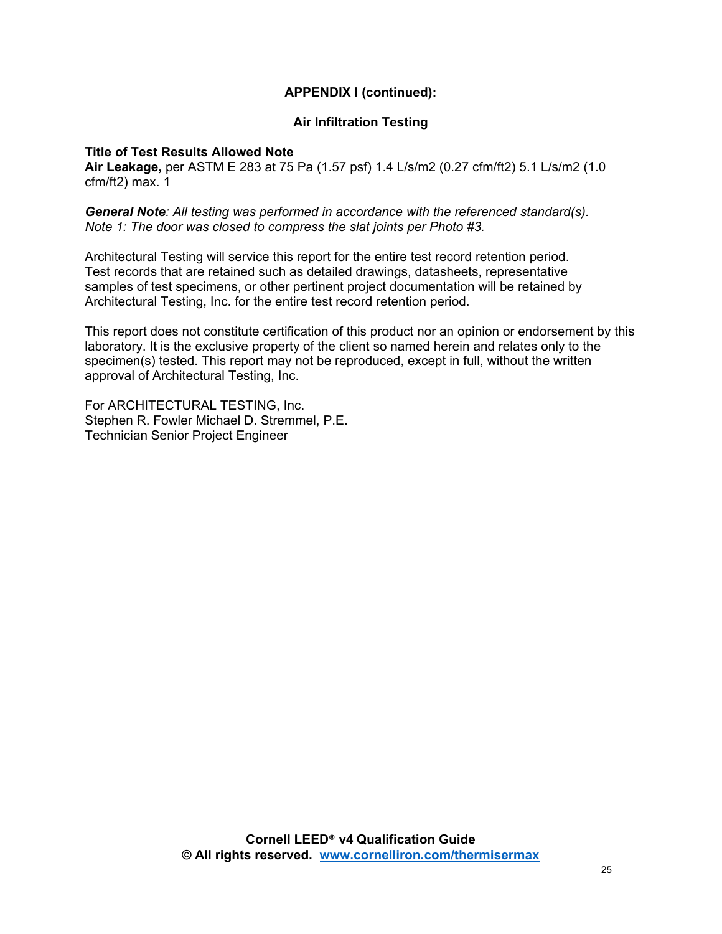#### **APPENDIX I (continued):**

#### **Air Infiltration Testing**

#### **Title of Test Results Allowed Note**

**Air Leakage,** per ASTM E 283 at 75 Pa (1.57 psf) 1.4 L/s/m2 (0.27 cfm/ft2) 5.1 L/s/m2 (1.0 cfm/ft2) max. 1

*General Note: All testing was performed in accordance with the referenced standard(s). Note 1: The door was closed to compress the slat joints per Photo #3.*

Architectural Testing will service this report for the entire test record retention period. Test records that are retained such as detailed drawings, datasheets, representative samples of test specimens, or other pertinent project documentation will be retained by Architectural Testing, Inc. for the entire test record retention period.

This report does not constitute certification of this product nor an opinion or endorsement by this laboratory. It is the exclusive property of the client so named herein and relates only to the specimen(s) tested. This report may not be reproduced, except in full, without the written approval of Architectural Testing, Inc.

For ARCHITECTURAL TESTING, Inc. Stephen R. Fowler Michael D. Stremmel, P.E. Technician Senior Project Engineer